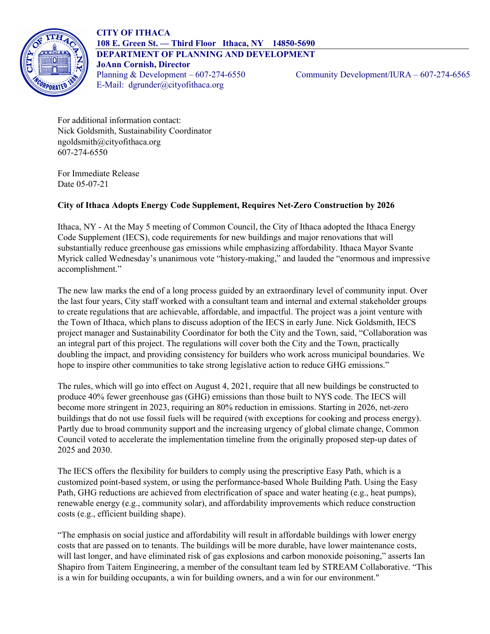

For additional information contact: Nick Goldsmith, Sustainability Coordinator ngoldsmith@cityofithaca.org 607-274-6550

For Immediate Release Date 05-07-21

## **City of Ithaca Adopts Energy Code Supplement, Requires Net-Zero Construction by 2026**

Ithaca, NY - At the May 5 meeting of Common Council, the City of Ithaca adopted the Ithaca Energy Code Supplement (IECS), code requirements for new buildings and major renovations that will substantially reduce greenhouse gas emissions while emphasizing affordability. Ithaca Mayor Svante Myrick called Wednesday's unanimous vote "history-making," and lauded the "enormous and impressive accomplishment."

The new law marks the end of a long process guided by an extraordinary level of community input. Over the last four years, City staff worked with a consultant team and internal and external stakeholder groups to create regulations that are achievable, affordable, and impactful. The project was a joint venture with the Town of Ithaca, which plans to discuss adoption of the IECS in early June. Nick Goldsmith, IECS project manager and Sustainability Coordinator for both the City and the Town, said, "Collaboration was an integral part of this project. The regulations will cover both the City and the Town, practically doubling the impact, and providing consistency for builders who work across municipal boundaries. We hope to inspire other communities to take strong legislative action to reduce GHG emissions."

The rules, which will go into effect on August 4, 2021, require that all new buildings be constructed to produce 40% fewer greenhouse gas (GHG) emissions than those built to NYS code. The IECS will become more stringent in 2023, requiring an 80% reduction in emissions. Starting in 2026, net-zero buildings that do not use fossil fuels will be required (with exceptions for cooking and process energy). Partly due to broad community support and the increasing urgency of global climate change, Common Council voted to accelerate the implementation timeline from the originally proposed step-up dates of 2025 and 2030.

The IECS offers the flexibility for builders to comply using the prescriptive Easy Path, which is a customized point-based system, or using the performance-based Whole Building Path. Using the Easy Path, GHG reductions are achieved from electrification of space and water heating (e.g., heat pumps), renewable energy (e.g., community solar), and affordability improvements which reduce construction costs (e.g., efficient building shape).

"The emphasis on social justice and affordability will result in affordable buildings with lower energy costs that are passed on to tenants. The buildings will be more durable, have lower maintenance costs, will last longer, and have eliminated risk of gas explosions and carbon monoxide poisoning," asserts Ian Shapiro from Taitem Engineering, a member of the consultant team led by STREAM Collaborative. "This is a win for building occupants, a win for building owners, and a win for our environment."